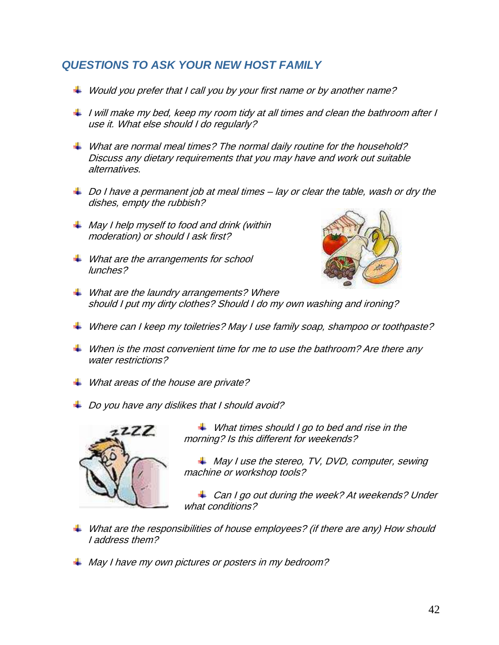## *QUESTIONS TO ASK YOUR NEW HOST FAMILY*

- $\ddot{*}$  Would you prefer that I call you by your first name or by another name?
- $\ddot{\text{I}}$  I will make my bed, keep my room tidy at all times and clean the bathroom after I use it. What else should I do regularly?
- $\textcolor{blue}{\textbf{4}}$  What are normal meal times? The normal daily routine for the household? Discuss any dietary requirements that you may have and work out suitable alternatives.
- $\perp$  Do I have a permanent job at meal times lay or clear the table, wash or dry the dishes, empty the rubbish?
- $\frac{1}{2}$  May I help myself to food and drink (within moderation) or should I ask first?
- **↓** What are the arrangements for school lunches?



- $\textcolor{red}{\textbf{4}}$  What are the laundry arrangements? Where should I put my dirty clothes? Should I do my own washing and ironing?
- $\textcolor{red}{\downarrow}$  Where can I keep my toiletries? May I use family soap, shampoo or toothpaste?
- $\ddot{\text{+}}$  When is the most convenient time for me to use the bathroom? Are there any water restrictions?
- $\textcolor{red}{\downarrow}$  What areas of the house are private?
- $\textcolor{red}{\textbf{1}}$  Do you have any dislikes that I should avoid?



 $\textcolor{red}{\downarrow}$  What times should I go to bed and rise in the morning? Is this different for weekends?

 $\textcolor{red}{\downarrow}$  May I use the stereo, TV, DVD, computer, sewing machine or workshop tools?

Can I go out during the week? At weekends? Under what conditions?

- $\ddot{\bullet}$  What are the responsibilities of house employees? (if there are any) How should I address them?
- $\textcolor{red}{\downarrow}$  May I have my own pictures or posters in my bedroom?